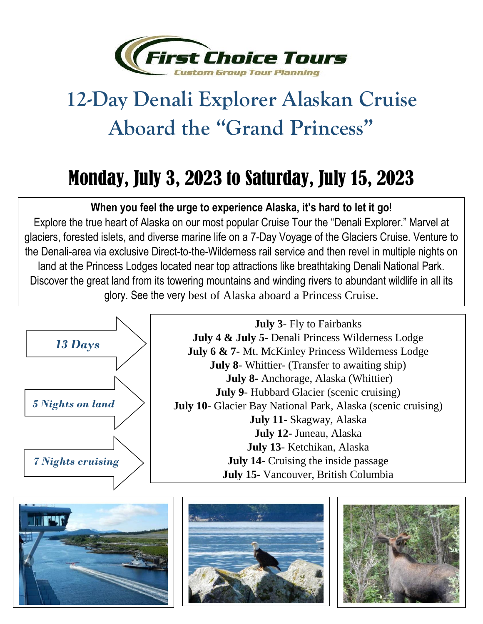

## **12-Day Denali Explorer Alaskan Cruise Aboard the "Grand Princess"**

## Monday, July 3, 2023 to Saturday, July 15, 2023

## **When you feel the urge to experience Alaska, it's hard to let it go**!

<sup>5</sup> glory. See the very best of Alaska aboard a Princess Cruise. Explore the true heart of Alaska on our most popular Cruise Tour the "Denali Explorer." Marvel at glaciers, forested islets, and diverse marine life on a 7-Day Voyage of the Glaciers Cruise. Venture to the Denali-area via exclusive Direct-to-the-Wilderness rail service and then revel in multiple nights on land at the Princess Lodges located near top attractions like breathtaking Denali National Park. Discover the great land from its towering mountains and winding rivers to abundant wildlife in all its



**July 3**- Fly to Fairbanks **July 4 & July 5**- Denali Princess Wilderness Lodge **July 6 & 7**- Mt. McKinley Princess Wilderness Lodge **July 8**- Whittier- (Transfer to awaiting ship) **July 8-** Anchorage, Alaska (Whittier) **July 9**- Hubbard Glacier (scenic cruising) **July 10**- Glacier Bay National Park, Alaska (scenic cruising) **July 11**- Skagway, Alaska **July 12**- Juneau, Alaska **July 13**- Ketchikan, Alaska **July 14**- Cruising the inside passage **July 15-** Vancouver, British Columbia